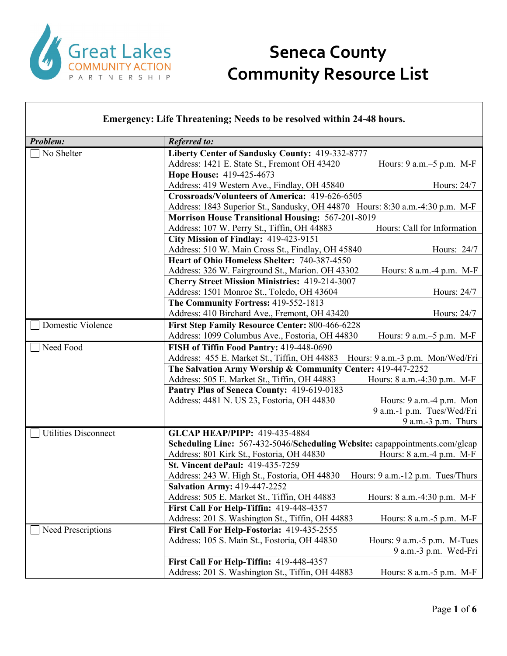

| Emergency: Life Threatening; Needs to be resolved within 24-48 hours. |                                                                                  |
|-----------------------------------------------------------------------|----------------------------------------------------------------------------------|
| Problem:                                                              | <b>Referred to:</b>                                                              |
| No Shelter                                                            | Liberty Center of Sandusky County: 419-332-8777                                  |
|                                                                       | Address: 1421 E. State St., Fremont OH 43420<br>Hours: $9$ a.m. $-5$ p.m. M-F    |
|                                                                       | Hope House: 419-425-4673                                                         |
|                                                                       | Address: 419 Western Ave., Findlay, OH 45840<br>Hours: 24/7                      |
|                                                                       | Crossroads/Volunteers of America: 419-626-6505                                   |
|                                                                       | Address: 1843 Superior St., Sandusky, OH 44870 Hours: 8:30 a.m.-4:30 p.m. M-F    |
|                                                                       | <b>Morrison House Transitional Housing: 567-201-8019</b>                         |
|                                                                       | Hours: Call for Information<br>Address: 107 W. Perry St., Tiffin, OH 44883       |
|                                                                       | City Mission of Findlay: 419-423-9151                                            |
|                                                                       | Address: 510 W. Main Cross St., Findlay, OH 45840<br>Hours: 24/7                 |
|                                                                       | Heart of Ohio Homeless Shelter: 740-387-4550                                     |
|                                                                       | Address: 326 W. Fairground St., Marion. OH 43302<br>Hours: 8 a.m.-4 p.m. M-F     |
|                                                                       | <b>Cherry Street Mission Ministries: 419-214-3007</b>                            |
|                                                                       | Address: 1501 Monroe St., Toledo, OH 43604<br>Hours: 24/7                        |
|                                                                       | The Community Fortress: 419-552-1813                                             |
|                                                                       | Address: 410 Birchard Ave., Fremont, OH 43420<br>Hours: 24/7                     |
| Domestic Violence                                                     | First Step Family Resource Center: 800-466-6228                                  |
|                                                                       | Address: 1099 Columbus Ave., Fostoria, OH 44830<br>Hours: 9 a.m.–5 p.m. M-F      |
| Need Food                                                             | FISH of Tiffin Food Pantry: 419-448-0690                                         |
|                                                                       | Address: 455 E. Market St., Tiffin, OH 44883<br>Hours: 9 a.m.-3 p.m. Mon/Wed/Fri |
|                                                                       | The Salvation Army Worship & Community Center: 419-447-2252                      |
|                                                                       | Address: 505 E. Market St., Tiffin, OH 44883<br>Hours: 8 a.m.-4:30 p.m. M-F      |
|                                                                       | Pantry Plus of Seneca County: 419-619-0183                                       |
|                                                                       | Address: 4481 N. US 23, Fostoria, OH 44830<br>Hours: 9 a.m.-4 p.m. Mon           |
|                                                                       | 9 a.m.-1 p.m. Tues/Wed/Fri                                                       |
|                                                                       | $9$ a.m.- $3$ p.m. Thurs                                                         |
| <b>Utilities Disconnect</b>                                           | <b>GLCAP HEAP/PIPP: 419-435-4884</b>                                             |
|                                                                       | Scheduling Line: 567-432-5046/Scheduling Website: capappointments.com/glcap      |
|                                                                       | Address: 801 Kirk St., Fostoria, OH 44830<br>Hours: 8 a.m.-4 p.m. M-F            |
|                                                                       | St. Vincent dePaul: 419-435-7259                                                 |
|                                                                       | Address: 243 W. High St., Fostoria, OH 44830 Hours: 9 a.m.-12 p.m. Tues/Thurs    |
|                                                                       | <b>Salvation Army: 419-447-2252</b>                                              |
|                                                                       | Address: 505 E. Market St., Tiffin, OH 44883<br>Hours: 8 a.m.-4:30 p.m. M-F      |
|                                                                       | First Call For Help-Tiffin: 419-448-4357                                         |
|                                                                       | Address: 201 S. Washington St., Tiffin, OH 44883<br>Hours: 8 a.m.-5 p.m. M-F     |
| Need Prescriptions                                                    | First Call For Help-Fostoria: 419-435-2555                                       |
|                                                                       | Address: 105 S. Main St., Fostoria, OH 44830<br>Hours: 9 a.m.-5 p.m. M-Tues      |
|                                                                       | 9 a.m.-3 p.m. Wed-Fri                                                            |
|                                                                       | First Call For Help-Tiffin: 419-448-4357                                         |
|                                                                       | Address: 201 S. Washington St., Tiffin, OH 44883<br>Hours: 8 a.m. - 5 p.m. M-F   |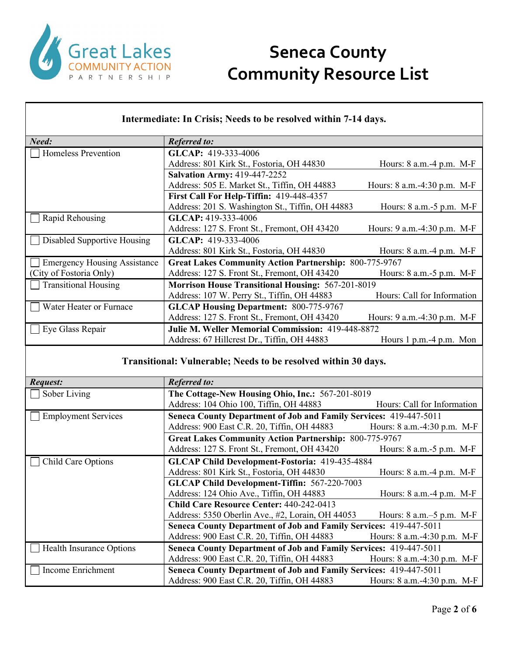

#### **Intermediate: In Crisis; Needs to be resolved within 7-14 days.** *Need: Referred to:* Homeless Prevention **GLCAP:** 419-333-4006 Address: 801 Kirk St., Fostoria, OH 44830 Hours: 8 a.m.-4 p.m. M-F **Salvation Army:** 419-447-2252 Address: 505 E. Market St., Tiffin, OH 44883 Hours: 8 a.m. -4:30 p.m. M-F **First Call For Help-Tiffin:** 419-448-4357 Address: 201 S. Washington St., Tiffin, OH 44883 Hours: 8 a.m.-5 p.m. M-F Rapid Rehousing **GLCAP:** 419-333-4006 Address: 127 S. Front St., Fremont, OH 43420 Hours: 9 a.m. -4:30 p.m. M-F Disabled Supportive Housing **GLCAP:** 419-333-4006 Address: 801 Kirk St., Fostoria, OH 44830 Hours: 8 a.m.-4 p.m. M-F **Emergency Housing Assistance** (City of Fostoria Only) **Great Lakes Community Action Partnership:** 800-775-9767 Address: 127 S. Front St., Fremont, OH 43420 Hours: 8 a.m.-5 p.m. M-F Transitional Housing **Morrison House Transitional Housing:** 567-201-8019 Address: 107 W. Perry St., Tiffin, OH 44883 Hours: Call for Information Water Heater or Furnace **GLCAP Housing Department:** 800-775-9767 Address: 127 S. Front St., Fremont, OH 43420 Hours: 9 a.m.-4:30 p.m. M-F Eye Glass Repair **Julie M. Weller Memorial Commission:** 419-448-8872 Address: 67 Hillcrest Dr., Tiffin, OH 44883 Hours 1 p.m. -4 p.m. Mon

#### **Transitional: Vulnerable; Needs to be resolved within 30 days.**

| <b>Request:</b>            | <b>Referred to:</b>                                               |                                  |
|----------------------------|-------------------------------------------------------------------|----------------------------------|
| Sober Living               | The Cottage-New Housing Ohio, Inc.: 567-201-8019                  |                                  |
|                            | Address: 104 Ohio 100, Tiffin, OH 44883                           | Hours: Call for Information      |
| <b>Employment Services</b> | Seneca County Department of Job and Family Services: 419-447-5011 |                                  |
|                            | Address: 900 East C.R. 20, Tiffin, OH 44883                       | Hours: 8 a.m.-4:30 p.m. M-F      |
|                            | <b>Great Lakes Community Action Partnership: 800-775-9767</b>     |                                  |
|                            | Address: 127 S. Front St., Fremont, OH 43420                      | Hours: $8$ a.m.- $5$ p.m. M-F    |
| Child Care Options         | GLCAP Child Development-Fostoria: 419-435-4884                    |                                  |
|                            | Address: 801 Kirk St., Fostoria, OH 44830                         | Hours: $8$ a.m. $-4$ p.m. M-F    |
|                            | <b>GLCAP Child Development-Tiffin: 567-220-7003</b>               |                                  |
|                            | Address: 124 Ohio Ave., Tiffin, OH 44883                          | Hours: $8$ a.m. $-4$ p.m. M-F    |
|                            | <b>Child Care Resource Center: 440-242-0413</b>                   |                                  |
|                            | Address: 5350 Oberlin Ave., #2, Lorain, OH 44053                  | Hours: $8$ a.m. $-5$ p.m. M-F    |
|                            | Seneca County Department of Job and Family Services: 419-447-5011 |                                  |
|                            | Address: 900 East C.R. 20, Tiffin, OH 44883                       | Hours: 8 a.m.-4:30 p.m. M-F      |
| Health Insurance Options   | Seneca County Department of Job and Family Services: 419-447-5011 |                                  |
|                            | Address: 900 East C.R. 20, Tiffin, OH 44883                       | Hours: $8$ a.m. $-4:30$ p.m. M-F |
| Income Enrichment          | Seneca County Department of Job and Family Services: 419-447-5011 |                                  |
|                            | Address: 900 East C.R. 20, Tiffin, OH 44883                       | Hours: 8 a.m. -4:30 p.m. M-F     |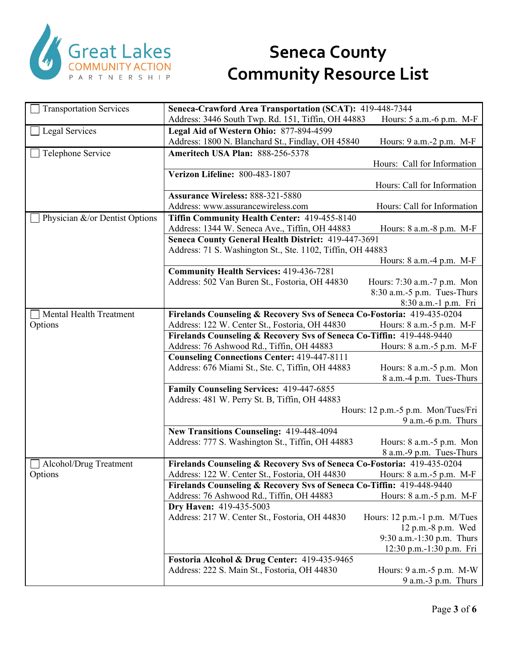

| <b>Transportation Services</b> | Seneca-Crawford Area Transportation (SCAT): 419-448-7344                                                                |                                    |
|--------------------------------|-------------------------------------------------------------------------------------------------------------------------|------------------------------------|
|                                | Address: 3446 South Twp. Rd. 151, Tiffin, OH 44883                                                                      | Hours: 5 a.m.-6 p.m. M-F           |
| Legal Services                 | Legal Aid of Western Ohio: 877-894-4599                                                                                 |                                    |
|                                | Address: 1800 N. Blanchard St., Findlay, OH 45840                                                                       | Hours: 9 a.m. - 2 p.m. M-F         |
| Telephone Service              | Ameritech USA Plan: 888-256-5378                                                                                        |                                    |
|                                |                                                                                                                         | Hours: Call for Information        |
|                                | Verizon Lifeline: 800-483-1807                                                                                          |                                    |
|                                |                                                                                                                         | Hours: Call for Information        |
|                                | Assurance Wireless: 888-321-5880                                                                                        |                                    |
|                                | Address: www.assurancewireless.com                                                                                      | Hours: Call for Information        |
| Physician &/or Dentist Options | Tiffin Community Health Center: 419-455-8140                                                                            |                                    |
|                                | Address: 1344 W. Seneca Ave., Tiffin, OH 44883                                                                          | Hours: 8 a.m. - 8 p.m. M-F         |
|                                | Seneca County General Health District: 419-447-3691                                                                     |                                    |
|                                | Address: 71 S. Washington St., Ste. 1102, Tiffin, OH 44883                                                              |                                    |
|                                |                                                                                                                         | Hours: 8 a.m.-4 p.m. M-F           |
|                                | <b>Community Health Services: 419-436-7281</b>                                                                          |                                    |
|                                | Address: 502 Van Buren St., Fostoria, OH 44830                                                                          | Hours: 7:30 a.m.-7 p.m. Mon        |
|                                |                                                                                                                         | 8:30 a.m.-5 p.m. Tues-Thurs        |
|                                |                                                                                                                         | 8:30 a.m.-1 p.m. Fri               |
| Mental Health Treatment        | Firelands Counseling & Recovery Svs of Seneca Co-Fostoria: 419-435-0204                                                 |                                    |
| Options                        | Address: 122 W. Center St., Fostoria, OH 44830<br>Firelands Counseling & Recovery Svs of Seneca Co-Tiffin: 419-448-9440 | Hours: 8 a.m. - 5 p.m. M-F         |
|                                | Address: 76 Ashwood Rd., Tiffin, OH 44883                                                                               | Hours: 8 a.m. - 5 p.m. M-F         |
|                                | <b>Counseling Connections Center: 419-447-8111</b>                                                                      |                                    |
|                                | Address: 676 Miami St., Ste. C, Tiffin, OH 44883                                                                        | Hours: 8 a.m.-5 p.m. Mon           |
|                                |                                                                                                                         | 8 a.m.-4 p.m. Tues-Thurs           |
|                                | Family Counseling Services: 419-447-6855                                                                                |                                    |
|                                | Address: 481 W. Perry St. B, Tiffin, OH 44883                                                                           |                                    |
|                                |                                                                                                                         | Hours: 12 p.m.-5 p.m. Mon/Tues/Fri |
|                                |                                                                                                                         | $9$ a.m.-6 p.m. Thurs              |
|                                | New Transitions Counseling: 419-448-4094                                                                                |                                    |
|                                | Address: 777 S. Washington St., Tiffin, OH 44883                                                                        | Hours: 8 a.m.-5 p.m. Mon           |
|                                |                                                                                                                         | 8 a.m.-9 p.m. Tues-Thurs           |
| Alcohol/Drug Treatment         | Firelands Counseling & Recovery Svs of Seneca Co-Fostoria: 419-435-0204                                                 |                                    |
| Options                        | Address: 122 W. Center St., Fostoria, OH 44830 Hours: 8 a.m.-5 p.m. M-F                                                 |                                    |
|                                | Firelands Counseling & Recovery Svs of Seneca Co-Tiffin: 419-448-9440                                                   |                                    |
|                                | Address: 76 Ashwood Rd., Tiffin, OH 44883                                                                               | Hours: $8$ a.m. $-5$ p.m. M-F      |
|                                | Dry Haven: 419-435-5003                                                                                                 |                                    |
|                                | Address: 217 W. Center St., Fostoria, OH 44830                                                                          | Hours: 12 p.m.-1 p.m. M/Tues       |
|                                |                                                                                                                         | $12 p.m.-8 p.m.$ Wed               |
|                                |                                                                                                                         | 9:30 a.m.-1:30 p.m. Thurs          |
|                                | Fostoria Alcohol & Drug Center: 419-435-9465                                                                            | 12:30 p.m.-1:30 p.m. Fri           |
|                                | Address: 222 S. Main St., Fostoria, OH 44830                                                                            | Hours: 9 a.m.-5 p.m. M-W           |
|                                |                                                                                                                         | $9$ a.m.- $3$ p.m. Thurs           |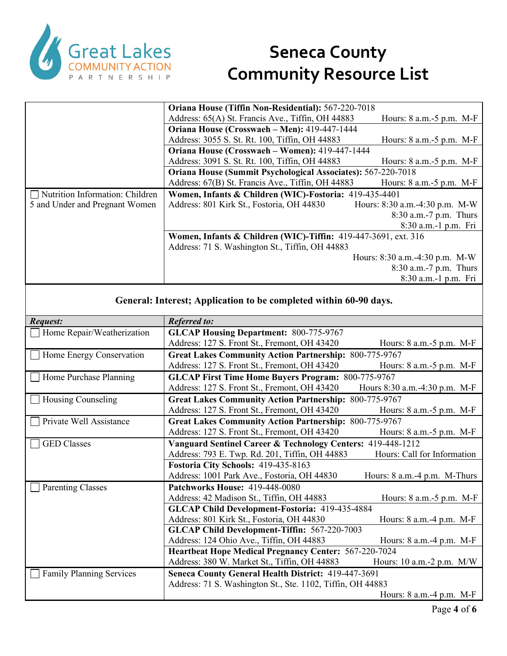

| Address: 65(A) St. Francis Ave., Tiffin, OH 44883                   | Hours: $8$ a.m.- $5$ p.m. M-F                                                                                 |
|---------------------------------------------------------------------|---------------------------------------------------------------------------------------------------------------|
| Oriana House (Crosswaeh – Men): 419-447-1444                        |                                                                                                               |
| Address: 3055 S. St. Rt. 100, Tiffin, OH 44883                      | Hours: 8 a.m.-5 p.m. M-F                                                                                      |
| Oriana House (Crosswaeh – Women): 419-447-1444                      |                                                                                                               |
| Address: 3091 S. St. Rt. 100, Tiffin, OH 44883                      | Hours: 8 a.m.-5 p.m. M-F                                                                                      |
| <b>Oriana House (Summit Psychological Associates): 567-220-7018</b> |                                                                                                               |
| Address: 67(B) St. Francis Ave., Tiffin, OH 44883                   | Hours: 8 a.m.-5 p.m. M-F                                                                                      |
|                                                                     |                                                                                                               |
| Address: 801 Kirk St., Fostoria, OH 44830                           | Hours: 8:30 a.m.-4:30 p.m. M-W                                                                                |
|                                                                     | 8:30 a.m.-7 p.m. Thurs                                                                                        |
|                                                                     | 8:30 a.m.-1 p.m. Fri                                                                                          |
| Women, Infants & Children (WIC)-Tiffin: 419-447-3691, ext. 316      |                                                                                                               |
| Address: 71 S. Washington St., Tiffin, OH 44883                     |                                                                                                               |
|                                                                     | Hours: 8:30 a.m.-4:30 p.m. M-W                                                                                |
|                                                                     | 8:30 a.m.-7 p.m. Thurs                                                                                        |
|                                                                     | 8:30 a.m.-1 p.m. Fri                                                                                          |
|                                                                     | Oriana House (Tiffin Non-Residential): 567-220-7018<br>Women, Infants & Children (WIC)-Fostoria: 419-435-4401 |

#### **General: Interest; Application to be completed within 60-90 days.**

| Request:                        | <b>Referred to:</b>                                           |                                   |
|---------------------------------|---------------------------------------------------------------|-----------------------------------|
| Home Repair/Weatherization      | <b>GLCAP Housing Department: 800-775-9767</b>                 |                                   |
|                                 | Address: 127 S. Front St., Fremont, OH 43420                  | Hours: 8 a.m. - 5 p.m. M-F        |
| Home Energy Conservation        | <b>Great Lakes Community Action Partnership: 800-775-9767</b> |                                   |
|                                 | Address: 127 S. Front St., Fremont, OH 43420                  | Hours: 8 a.m.-5 p.m. M-F          |
| Home Purchase Planning          | <b>GLCAP First Time Home Buyers Program: 800-775-9767</b>     |                                   |
|                                 | Address: 127 S. Front St., Fremont, OH 43420                  | Hours 8:30 a.m.-4:30 p.m. M-F     |
| Housing Counseling              | <b>Great Lakes Community Action Partnership: 800-775-9767</b> |                                   |
|                                 | Address: 127 S. Front St., Fremont, OH 43420                  | Hours: 8 a.m. - 5 p.m. M-F        |
| Private Well Assistance         | <b>Great Lakes Community Action Partnership: 800-775-9767</b> |                                   |
|                                 | Address: 127 S. Front St., Fremont, OH 43420                  | Hours: 8 a.m. - 5 p.m. M-F        |
| <b>GED</b> Classes              | Vanguard Sentinel Career & Technology Centers: 419-448-1212   |                                   |
|                                 | Address: 793 E. Twp. Rd. 201, Tiffin, OH 44883                | Hours: Call for Information       |
|                                 | Fostoria City Schools: 419-435-8163                           |                                   |
|                                 | Address: 1001 Park Ave., Fostoria, OH 44830                   | Hours: $8$ a.m. $-4$ p.m. M-Thurs |
| <b>Parenting Classes</b>        | Patchworks House: 419-448-0080                                |                                   |
|                                 | Address: 42 Madison St., Tiffin, OH 44883                     | Hours: $8$ a.m.- $5$ p.m. M-F     |
|                                 | GLCAP Child Development-Fostoria: 419-435-4884                |                                   |
|                                 | Address: 801 Kirk St., Fostoria, OH 44830                     | Hours: 8 a.m.-4 p.m. M-F          |
|                                 | <b>GLCAP Child Development-Tiffin: 567-220-7003</b>           |                                   |
|                                 | Address: 124 Ohio Ave., Tiffin, OH 44883                      | Hours: 8 a.m.-4 p.m. M-F          |
|                                 | <b>Heartbeat Hope Medical Pregnancy Center: 567-220-7024</b>  |                                   |
|                                 | Address: 380 W. Market St., Tiffin, OH 44883                  | Hours: $10$ a.m.- $2$ p.m. M/W    |
| <b>Family Planning Services</b> | Seneca County General Health District: 419-447-3691           |                                   |
|                                 | Address: 71 S. Washington St., Ste. 1102, Tiffin, OH 44883    |                                   |
|                                 |                                                               | Hours: $8$ a.m. $-4$ p.m. M-F     |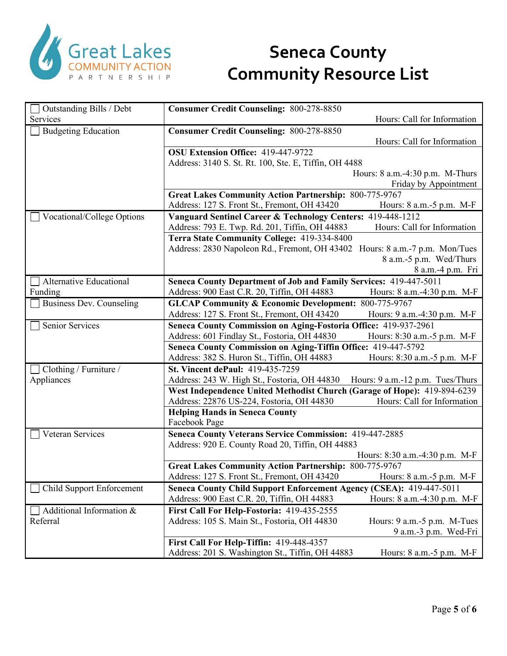

| Outstanding Bills / Debt         | <b>Consumer Credit Counseling: 800-278-8850</b>                                                               |  |
|----------------------------------|---------------------------------------------------------------------------------------------------------------|--|
| Services                         | Hours: Call for Information                                                                                   |  |
| <b>Budgeting Education</b>       | <b>Consumer Credit Counseling: 800-278-8850</b>                                                               |  |
|                                  | Hours: Call for Information                                                                                   |  |
|                                  | OSU Extension Office: 419-447-9722                                                                            |  |
|                                  | Address: 3140 S. St. Rt. 100, Ste. E, Tiffin, OH 4488                                                         |  |
|                                  | Hours: 8 a.m.-4:30 p.m. M-Thurs                                                                               |  |
|                                  | Friday by Appointment                                                                                         |  |
|                                  | <b>Great Lakes Community Action Partnership: 800-775-9767</b>                                                 |  |
|                                  | Address: 127 S. Front St., Fremont, OH 43420<br>Hours: 8 a.m.-5 p.m. M-F                                      |  |
| Vocational/College Options       | Vanguard Sentinel Career & Technology Centers: 419-448-1212                                                   |  |
|                                  | Hours: Call for Information<br>Address: 793 E. Twp. Rd. 201, Tiffin, OH 44883                                 |  |
|                                  | Terra State Community College: 419-334-8400                                                                   |  |
|                                  | Address: 2830 Napoleon Rd., Fremont, OH 43402 Hours: 8 a.m.-7 p.m. Mon/Tues                                   |  |
|                                  | 8 a.m.-5 p.m. Wed/Thurs                                                                                       |  |
|                                  | 8 a.m.-4 p.m. Fri                                                                                             |  |
| <b>Alternative Educational</b>   | Seneca County Department of Job and Family Services: 419-447-5011                                             |  |
| Funding                          | Address: 900 East C.R. 20, Tiffin, OH 44883<br>Hours: 8 a.m.-4:30 p.m. M-F                                    |  |
| <b>Business Dev. Counseling</b>  | <b>GLCAP Community &amp; Economic Development: 800-775-9767</b>                                               |  |
|                                  | Address: 127 S. Front St., Fremont, OH 43420<br>Hours: 9 a.m.-4:30 p.m. M-F                                   |  |
| <b>Senior Services</b>           | Seneca County Commission on Aging-Fostoria Office: 419-937-2961                                               |  |
|                                  | Address: 601 Findlay St., Fostoria, OH 44830<br>Hours: 8:30 a.m.-5 p.m. M-F                                   |  |
|                                  | Seneca County Commission on Aging-Tiffin Office: 419-447-5792                                                 |  |
|                                  | Address: 382 S. Huron St., Tiffin, OH 44883<br>Hours: 8:30 a.m.-5 p.m. M-F                                    |  |
| Clothing / Furniture /           | St. Vincent dePaul: 419-435-7259                                                                              |  |
| Appliances                       | Address: 243 W. High St., Fostoria, OH 44830<br>Hours: 9 a.m.-12 p.m. Tues/Thurs                              |  |
|                                  | West Independence United Methodist Church (Garage of Hope): 419-894-6239                                      |  |
|                                  | Address: 22876 US-224, Fostoria, OH 44830<br>Hours: Call for Information                                      |  |
|                                  | <b>Helping Hands in Seneca County</b>                                                                         |  |
|                                  | Facebook Page                                                                                                 |  |
| <b>Veteran Services</b>          | Seneca County Veterans Service Commission: 419-447-2885                                                       |  |
|                                  | Address: 920 E. County Road 20, Tiffin, OH 44883                                                              |  |
|                                  | Hours: 8:30 a.m.-4:30 p.m. M-F                                                                                |  |
|                                  | <b>Great Lakes Community Action Partnership: 800-775-9767</b><br>Address: 127 S. Front St., Fremont, OH 43420 |  |
|                                  | Hours: 8 a.m.-5 p.m. M-F                                                                                      |  |
| <b>Child Support Enforcement</b> | Seneca County Child Support Enforcement Agency (CSEA): 419-447-5011<br>Hours: 8 a.m.-4:30 p.m. M-F            |  |
|                                  | Address: 900 East C.R. 20, Tiffin, OH 44883                                                                   |  |
| Additional Information &         | First Call For Help-Fostoria: 419-435-2555                                                                    |  |
| Referral                         | Address: 105 S. Main St., Fostoria, OH 44830<br>Hours: 9 a.m.-5 p.m. M-Tues                                   |  |
|                                  | 9 a.m.-3 p.m. Wed-Fri                                                                                         |  |
|                                  | First Call For Help-Tiffin: 419-448-4357                                                                      |  |
|                                  | Address: 201 S. Washington St., Tiffin, OH 44883<br>Hours: 8 a.m. - 5 p.m. M-F                                |  |